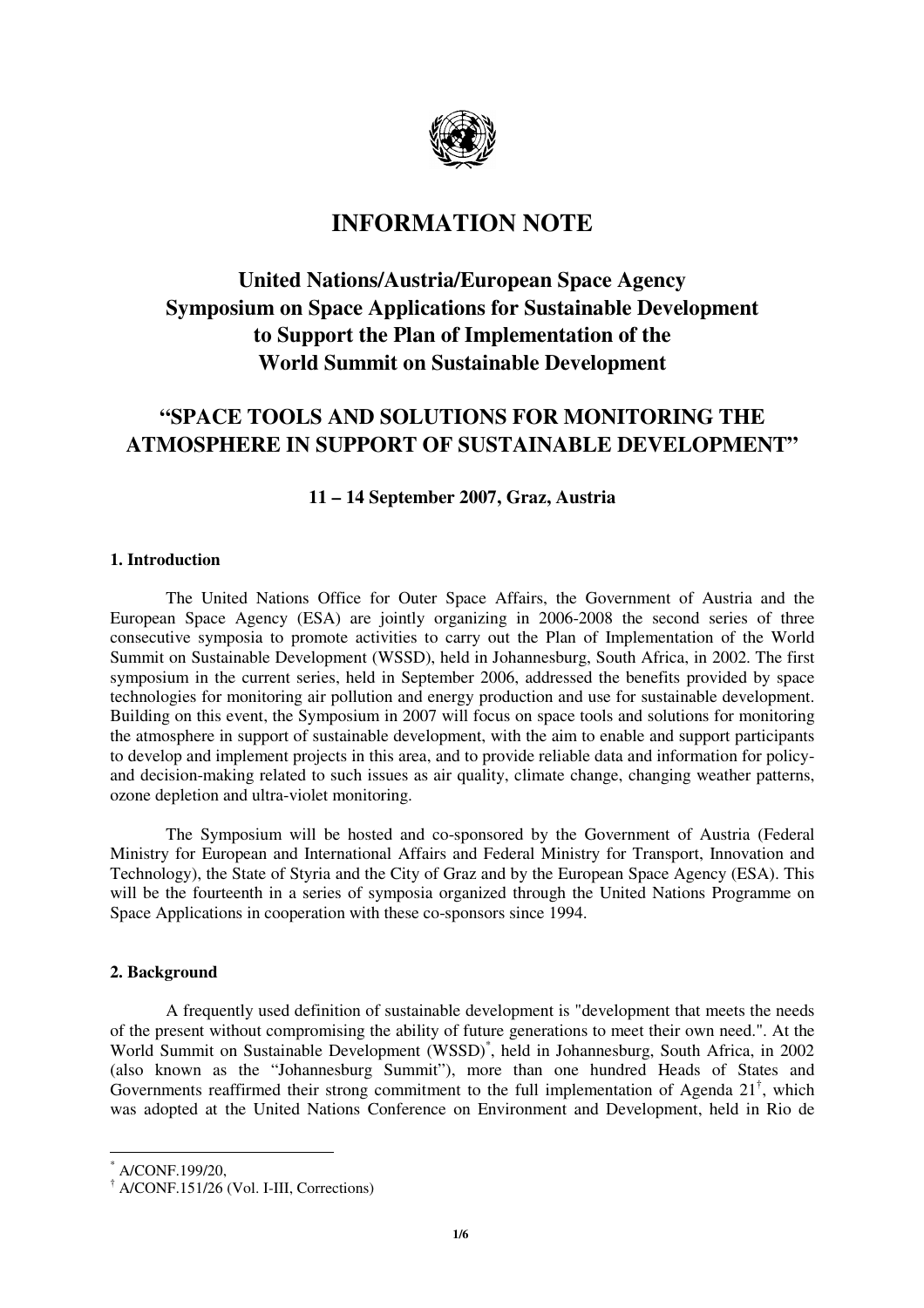

## **INFORMATION NOTE**

# **United Nations/Austria/European Space Agency Symposium on Space Applications for Sustainable Development to Support the Plan of Implementation of the World Summit on Sustainable Development**

## **"SPACE TOOLS AND SOLUTIONS FOR MONITORING THE ATMOSPHERE IN SUPPORT OF SUSTAINABLE DEVELOPMENT"**

## **11 – 14 September 2007, Graz, Austria**

## **1. Introduction**

The United Nations Office for Outer Space Affairs, the Government of Austria and the European Space Agency (ESA) are jointly organizing in 2006-2008 the second series of three consecutive symposia to promote activities to carry out the Plan of Implementation of the World Summit on Sustainable Development (WSSD), held in Johannesburg, South Africa, in 2002. The first symposium in the current series, held in September 2006, addressed the benefits provided by space technologies for monitoring air pollution and energy production and use for sustainable development. Building on this event, the Symposium in 2007 will focus on space tools and solutions for monitoring the atmosphere in support of sustainable development, with the aim to enable and support participants to develop and implement projects in this area, and to provide reliable data and information for policyand decision-making related to such issues as air quality, climate change, changing weather patterns, ozone depletion and ultra-violet monitoring.

The Symposium will be hosted and co-sponsored by the Government of Austria (Federal Ministry for European and International Affairs and Federal Ministry for Transport, Innovation and Technology), the State of Styria and the City of Graz and by the European Space Agency (ESA). This will be the fourteenth in a series of symposia organized through the United Nations Programme on Space Applications in cooperation with these co-sponsors since 1994.

#### **2. Background**

A frequently used definition of sustainable development is "development that meets the needs of the present without compromising the ability of future generations to meet their own need.". At the World Summit on Sustainable Development (WSSD)\* , held in Johannesburg, South Africa, in 2002 (also known as the "Johannesburg Summit"), more than one hundred Heads of States and Governments reaffirmed their strong commitment to the full implementation of Agenda  $21^{\dagger}$ , which was adopted at the United Nations Conference on Environment and Development, held in Rio de

 $\overline{a}$ 

<sup>\*</sup> A/CONF.199/20,

<sup>†</sup> A/CONF.151/26 (Vol. I-III, Corrections)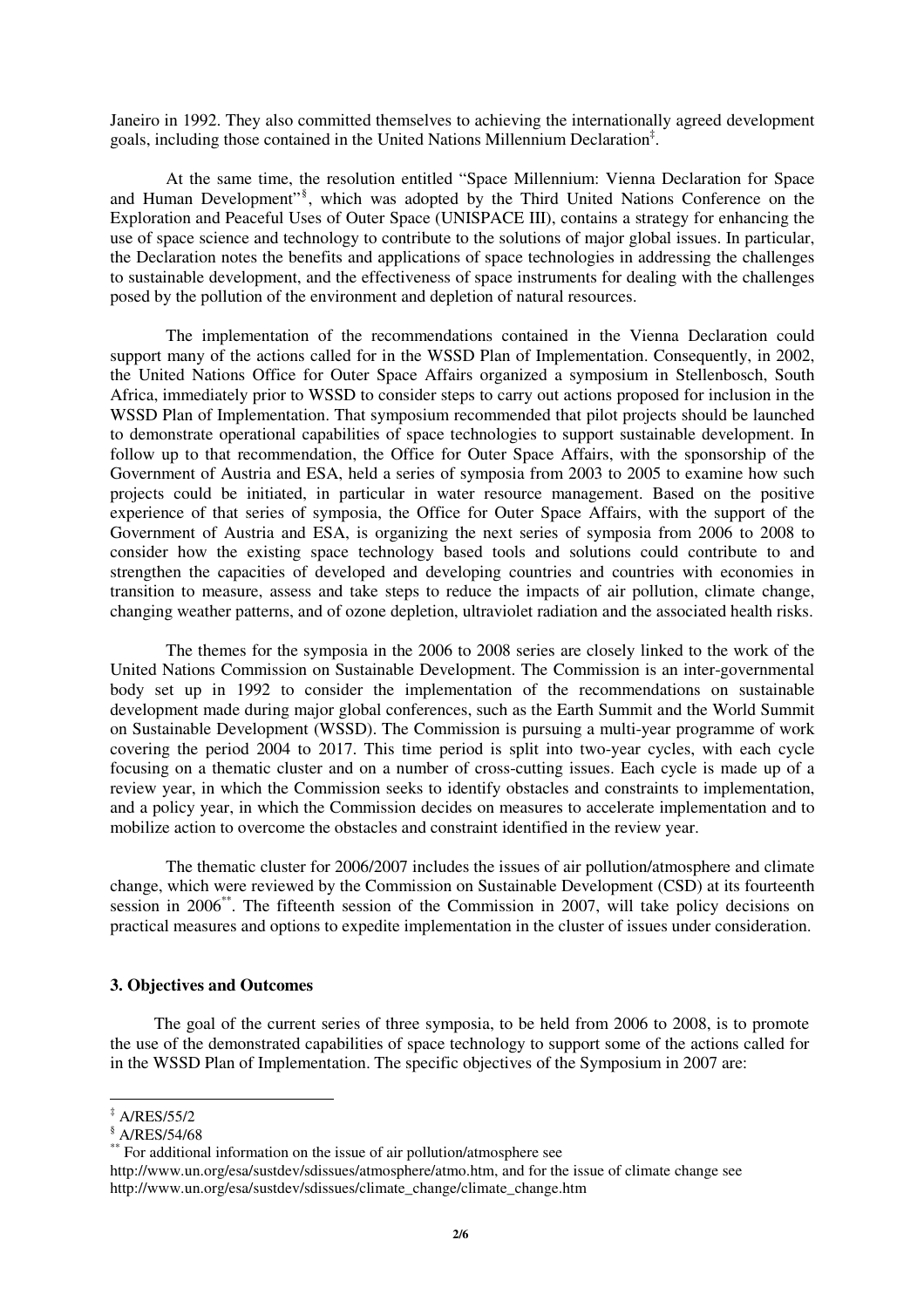Janeiro in 1992. They also committed themselves to achieving the internationally agreed development goals, including those contained in the United Nations Millennium Declaration‡ .

At the same time, the resolution entitled "Space Millennium: Vienna Declaration for Space and Human Development"<sup>§</sup>, which was adopted by the Third United Nations Conference on the Exploration and Peaceful Uses of Outer Space (UNISPACE III), contains a strategy for enhancing the use of space science and technology to contribute to the solutions of major global issues. In particular, the Declaration notes the benefits and applications of space technologies in addressing the challenges to sustainable development, and the effectiveness of space instruments for dealing with the challenges posed by the pollution of the environment and depletion of natural resources.

The implementation of the recommendations contained in the Vienna Declaration could support many of the actions called for in the WSSD Plan of Implementation. Consequently, in 2002, the United Nations Office for Outer Space Affairs organized a symposium in Stellenbosch, South Africa, immediately prior to WSSD to consider steps to carry out actions proposed for inclusion in the WSSD Plan of Implementation. That symposium recommended that pilot projects should be launched to demonstrate operational capabilities of space technologies to support sustainable development. In follow up to that recommendation, the Office for Outer Space Affairs, with the sponsorship of the Government of Austria and ESA, held a series of symposia from 2003 to 2005 to examine how such projects could be initiated, in particular in water resource management. Based on the positive experience of that series of symposia, the Office for Outer Space Affairs, with the support of the Government of Austria and ESA, is organizing the next series of symposia from 2006 to 2008 to consider how the existing space technology based tools and solutions could contribute to and strengthen the capacities of developed and developing countries and countries with economies in transition to measure, assess and take steps to reduce the impacts of air pollution, climate change, changing weather patterns, and of ozone depletion, ultraviolet radiation and the associated health risks.

The themes for the symposia in the 2006 to 2008 series are closely linked to the work of the United Nations Commission on Sustainable Development. The Commission is an inter-governmental body set up in 1992 to consider the implementation of the recommendations on sustainable development made during major global conferences, such as the Earth Summit and the World Summit on Sustainable Development (WSSD). The Commission is pursuing a multi-year programme of work covering the period 2004 to 2017. This time period is split into two-year cycles, with each cycle focusing on a thematic cluster and on a number of cross-cutting issues. Each cycle is made up of a review year, in which the Commission seeks to identify obstacles and constraints to implementation, and a policy year, in which the Commission decides on measures to accelerate implementation and to mobilize action to overcome the obstacles and constraint identified in the review year.

The thematic cluster for 2006/2007 includes the issues of air pollution/atmosphere and climate change, which were reviewed by the Commission on Sustainable Development (CSD) at its fourteenth session in 2006\*\*. The fifteenth session of the Commission in 2007, will take policy decisions on practical measures and options to expedite implementation in the cluster of issues under consideration.

#### **3. Objectives and Outcomes**

 The goal of the current series of three symposia, to be held from 2006 to 2008, is to promote the use of the demonstrated capabilities of space technology to support some of the actions called for in the WSSD Plan of Implementation. The specific objectives of the Symposium in 2007 are:

 ‡ A/RES/55/2

<sup>§</sup> A/RES/54/68

<sup>\*\*</sup> For additional information on the issue of air pollution/atmosphere see

http://www.un.org/esa/sustdev/sdissues/atmosphere/atmo.htm, and for the issue of climate change see http://www.un.org/esa/sustdev/sdissues/climate\_change/climate\_change.htm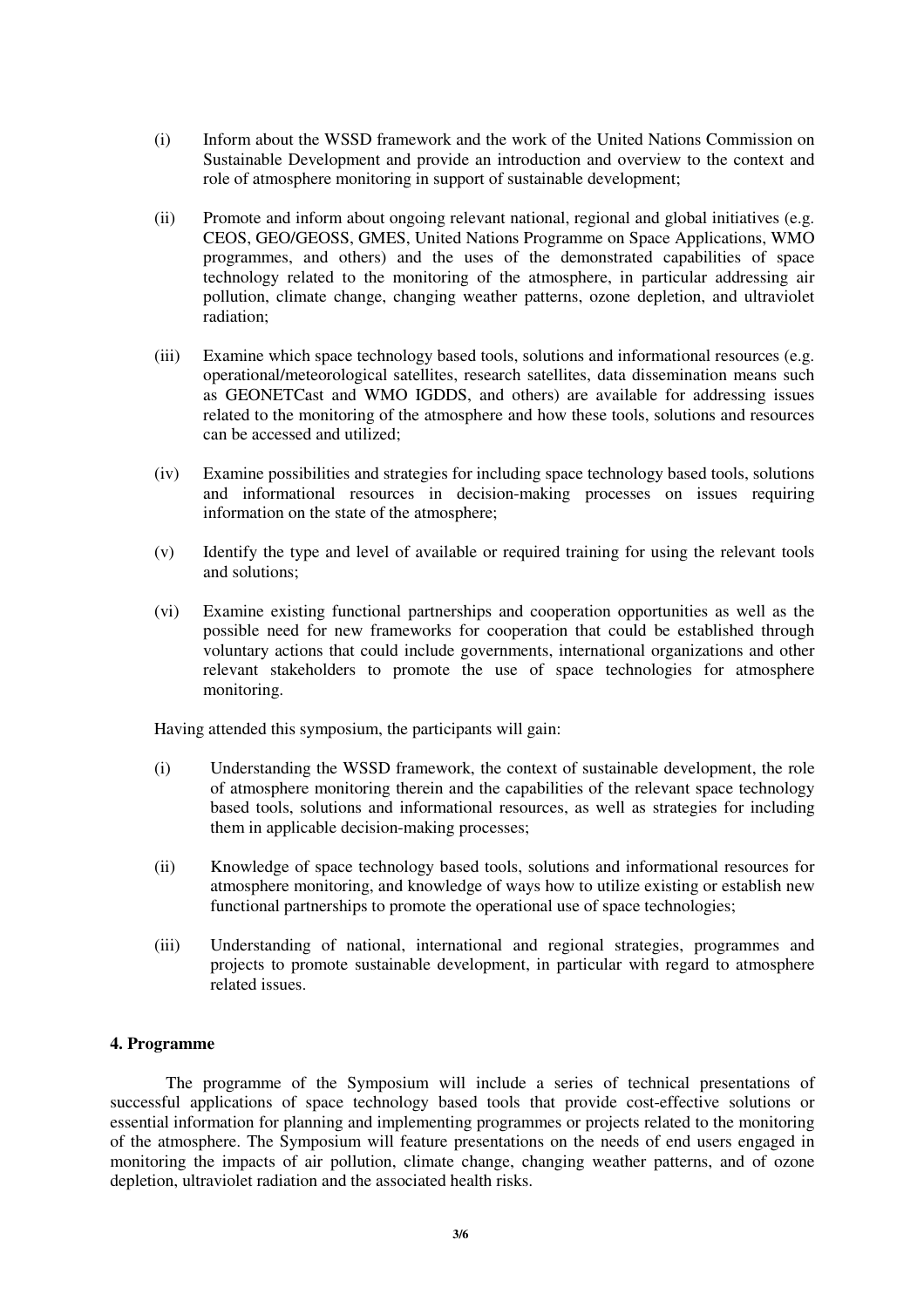- (i) Inform about the WSSD framework and the work of the United Nations Commission on Sustainable Development and provide an introduction and overview to the context and role of atmosphere monitoring in support of sustainable development;
- (ii) Promote and inform about ongoing relevant national, regional and global initiatives (e.g. CEOS, GEO/GEOSS, GMES, United Nations Programme on Space Applications, WMO programmes, and others) and the uses of the demonstrated capabilities of space technology related to the monitoring of the atmosphere, in particular addressing air pollution, climate change, changing weather patterns, ozone depletion, and ultraviolet radiation;
- (iii) Examine which space technology based tools, solutions and informational resources (e.g. operational/meteorological satellites, research satellites, data dissemination means such as GEONETCast and WMO IGDDS, and others) are available for addressing issues related to the monitoring of the atmosphere and how these tools, solutions and resources can be accessed and utilized;
- (iv) Examine possibilities and strategies for including space technology based tools, solutions and informational resources in decision-making processes on issues requiring information on the state of the atmosphere;
- (v) Identify the type and level of available or required training for using the relevant tools and solutions;
- (vi) Examine existing functional partnerships and cooperation opportunities as well as the possible need for new frameworks for cooperation that could be established through voluntary actions that could include governments, international organizations and other relevant stakeholders to promote the use of space technologies for atmosphere monitoring.

Having attended this symposium, the participants will gain:

- (i) Understanding the WSSD framework, the context of sustainable development, the role of atmosphere monitoring therein and the capabilities of the relevant space technology based tools, solutions and informational resources, as well as strategies for including them in applicable decision-making processes;
- (ii) Knowledge of space technology based tools, solutions and informational resources for atmosphere monitoring, and knowledge of ways how to utilize existing or establish new functional partnerships to promote the operational use of space technologies;
- (iii) Understanding of national, international and regional strategies, programmes and projects to promote sustainable development, in particular with regard to atmosphere related issues.

## **4. Programme**

 The programme of the Symposium will include a series of technical presentations of successful applications of space technology based tools that provide cost-effective solutions or essential information for planning and implementing programmes or projects related to the monitoring of the atmosphere. The Symposium will feature presentations on the needs of end users engaged in monitoring the impacts of air pollution, climate change, changing weather patterns, and of ozone depletion, ultraviolet radiation and the associated health risks.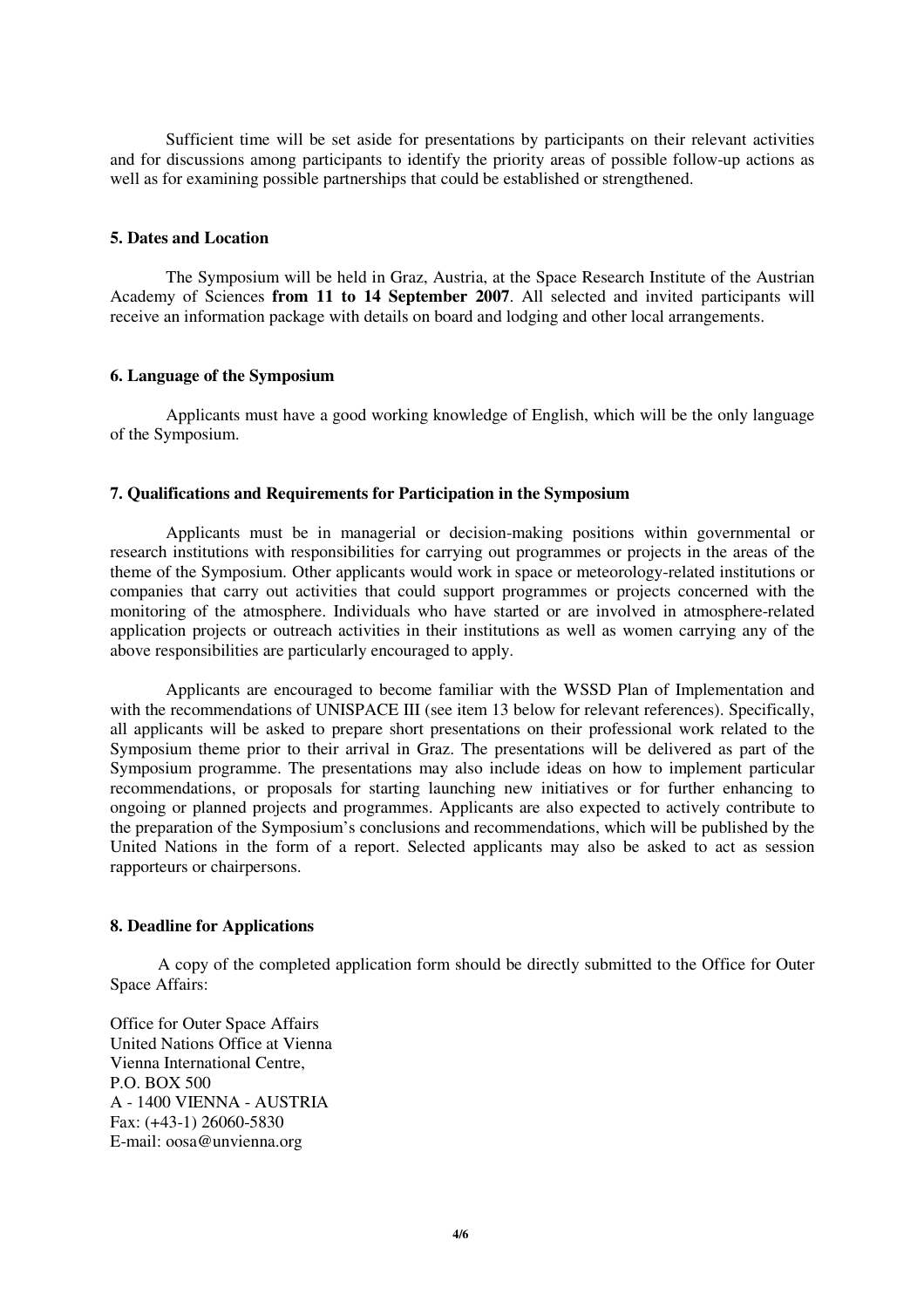Sufficient time will be set aside for presentations by participants on their relevant activities and for discussions among participants to identify the priority areas of possible follow-up actions as well as for examining possible partnerships that could be established or strengthened.

### **5. Dates and Location**

The Symposium will be held in Graz, Austria, at the Space Research Institute of the Austrian Academy of Sciences **from 11 to 14 September 2007**. All selected and invited participants will receive an information package with details on board and lodging and other local arrangements.

## **6. Language of the Symposium**

Applicants must have a good working knowledge of English, which will be the only language of the Symposium.

## **7. Qualifications and Requirements for Participation in the Symposium**

Applicants must be in managerial or decision-making positions within governmental or research institutions with responsibilities for carrying out programmes or projects in the areas of the theme of the Symposium. Other applicants would work in space or meteorology-related institutions or companies that carry out activities that could support programmes or projects concerned with the monitoring of the atmosphere. Individuals who have started or are involved in atmosphere-related application projects or outreach activities in their institutions as well as women carrying any of the above responsibilities are particularly encouraged to apply.

Applicants are encouraged to become familiar with the WSSD Plan of Implementation and with the recommendations of UNISPACE III (see item 13 below for relevant references). Specifically, all applicants will be asked to prepare short presentations on their professional work related to the Symposium theme prior to their arrival in Graz. The presentations will be delivered as part of the Symposium programme. The presentations may also include ideas on how to implement particular recommendations, or proposals for starting launching new initiatives or for further enhancing to ongoing or planned projects and programmes. Applicants are also expected to actively contribute to the preparation of the Symposium's conclusions and recommendations, which will be published by the United Nations in the form of a report. Selected applicants may also be asked to act as session rapporteurs or chairpersons.

## **8. Deadline for Applications**

 A copy of the completed application form should be directly submitted to the Office for Outer Space Affairs:

Office for Outer Space Affairs United Nations Office at Vienna Vienna International Centre, P.O. BOX 500 A - 1400 VIENNA - AUSTRIA Fax: (+43-1) 26060-5830 E-mail: oosa@unvienna.org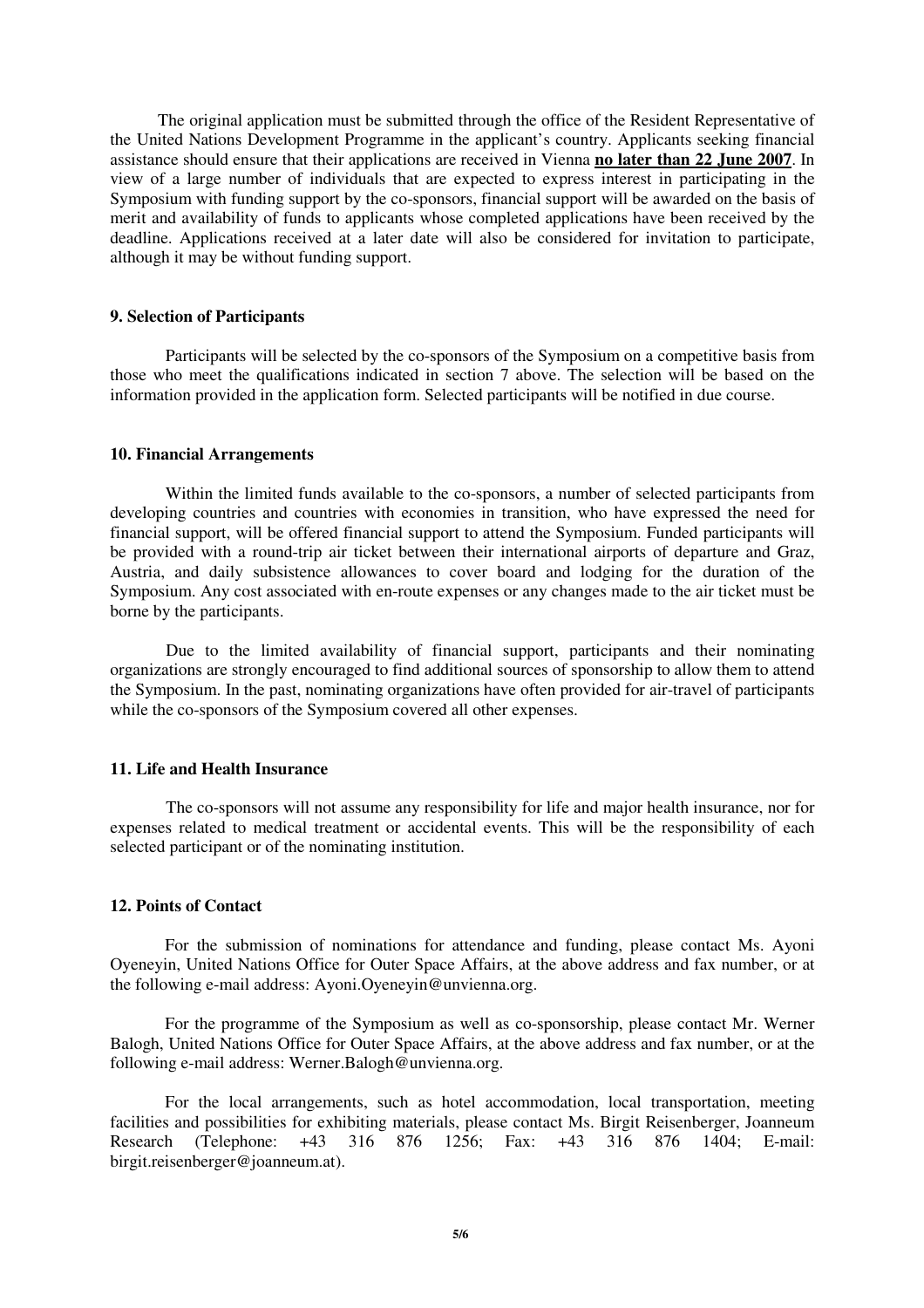The original application must be submitted through the office of the Resident Representative of the United Nations Development Programme in the applicant's country. Applicants seeking financial assistance should ensure that their applications are received in Vienna **no later than 22 June 2007**. In view of a large number of individuals that are expected to express interest in participating in the Symposium with funding support by the co-sponsors, financial support will be awarded on the basis of merit and availability of funds to applicants whose completed applications have been received by the deadline. Applications received at a later date will also be considered for invitation to participate, although it may be without funding support.

## **9. Selection of Participants**

Participants will be selected by the co-sponsors of the Symposium on a competitive basis from those who meet the qualifications indicated in section 7 above. The selection will be based on the information provided in the application form. Selected participants will be notified in due course.

#### **10. Financial Arrangements**

Within the limited funds available to the co-sponsors, a number of selected participants from developing countries and countries with economies in transition, who have expressed the need for financial support, will be offered financial support to attend the Symposium. Funded participants will be provided with a round-trip air ticket between their international airports of departure and Graz, Austria, and daily subsistence allowances to cover board and lodging for the duration of the Symposium. Any cost associated with en-route expenses or any changes made to the air ticket must be borne by the participants.

Due to the limited availability of financial support, participants and their nominating organizations are strongly encouraged to find additional sources of sponsorship to allow them to attend the Symposium. In the past, nominating organizations have often provided for air-travel of participants while the co-sponsors of the Symposium covered all other expenses.

## **11. Life and Health Insurance**

The co-sponsors will not assume any responsibility for life and major health insurance, nor for expenses related to medical treatment or accidental events. This will be the responsibility of each selected participant or of the nominating institution.

#### **12. Points of Contact**

For the submission of nominations for attendance and funding, please contact Ms. Ayoni Oyeneyin, United Nations Office for Outer Space Affairs, at the above address and fax number, or at the following e-mail address: Ayoni.Oyeneyin@unvienna.org.

 For the programme of the Symposium as well as co-sponsorship, please contact Mr. Werner Balogh, United Nations Office for Outer Space Affairs, at the above address and fax number, or at the following e-mail address: Werner.Balogh@unvienna.org.

 For the local arrangements, such as hotel accommodation, local transportation, meeting facilities and possibilities for exhibiting materials, please contact Ms. Birgit Reisenberger, Joanneum Research (Telephone: +43 316 876 1256; Fax: +43 316 876 1404; E-mail: birgit.reisenberger@joanneum.at).